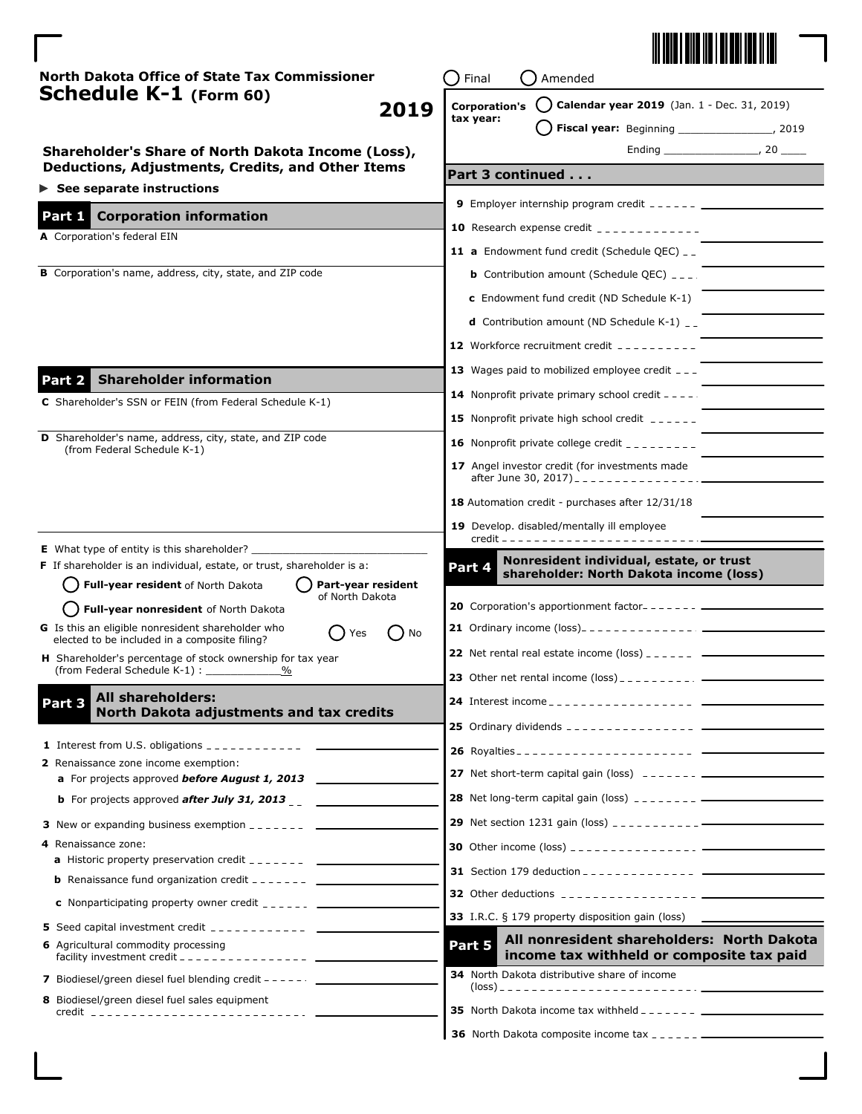

| North Dakota Office of State Tax Commissioner                                                                       | Final<br>Amended                                                                                                     |  |
|---------------------------------------------------------------------------------------------------------------------|----------------------------------------------------------------------------------------------------------------------|--|
| Schedule K-1 (Form 60)<br>2019                                                                                      | Calendar year 2019 (Jan. 1 - Dec. 31, 2019)<br>( )<br><b>Corporation's</b>                                           |  |
|                                                                                                                     | tax year:<br>Fiscal year: Beginning _________________, 2019                                                          |  |
| Shareholder's Share of North Dakota Income (Loss),                                                                  |                                                                                                                      |  |
| Deductions, Adjustments, Credits, and Other Items                                                                   | Part 3 continued                                                                                                     |  |
| $\triangleright$ See separate instructions                                                                          |                                                                                                                      |  |
| Part 1 Corporation information                                                                                      |                                                                                                                      |  |
| A Corporation's federal EIN                                                                                         | <b>10</b> Research expense credit $\frac{1}{2}$                                                                      |  |
|                                                                                                                     | <b>11 a</b> Endowment fund credit (Schedule QEC) $-$                                                                 |  |
| B Corporation's name, address, city, state, and ZIP code                                                            | <b>b</b> Contribution amount (Schedule QEC) $_{---}$ .                                                               |  |
|                                                                                                                     | <b>c</b> Endowment fund credit (ND Schedule K-1)                                                                     |  |
|                                                                                                                     | <b>d</b> Contribution amount (ND Schedule K-1) $_{-}$                                                                |  |
|                                                                                                                     | <b>12</b> Workforce recruitment credit $        -$                                                                   |  |
|                                                                                                                     | 13 Wages paid to mobilized employee credit $-$ -                                                                     |  |
| <b>Shareholder information</b><br>Part 2                                                                            | <b>14</b> Nonprofit private primary school credit $---$                                                              |  |
| C Shareholder's SSN or FEIN (from Federal Schedule K-1)                                                             | <b>15</b> Nonprofit private high school credit $\frac{1}{2}$                                                         |  |
| <b>D</b> Shareholder's name, address, city, state, and ZIP code                                                     | 16 Nonprofit private college credit $-$ - - - - - - - -                                                              |  |
| (from Federal Schedule K-1)                                                                                         |                                                                                                                      |  |
|                                                                                                                     | 17 Angel investor credit (for investments made                                                                       |  |
|                                                                                                                     | 18 Automation credit - purchases after 12/31/18                                                                      |  |
|                                                                                                                     | 19 Develop. disabled/mentally ill employee                                                                           |  |
| <b>E</b> What type of entity is this shareholder? $\overline{\phantom{a}}$                                          |                                                                                                                      |  |
| F If shareholder is an individual, estate, or trust, shareholder is a:                                              | Nonresident individual, estate, or trust<br>Part 4<br>shareholder: North Dakota income (loss)                        |  |
| Part-year resident<br>Full-year resident of North Dakota<br>of North Dakota                                         |                                                                                                                      |  |
| Full-year nonresident of North Dakota                                                                               | 20 Corporation's apportionment factor--------                                                                        |  |
| G Is this an eligible nonresident shareholder who<br>Yes<br>( ) No<br>elected to be included in a composite filing? |                                                                                                                      |  |
| H Shareholder's percentage of stock ownership for tax year                                                          | <b>22</b> Net rental real estate income (loss) $\frac{1}{2}$ $\frac{1}{2}$ $\frac{1}{2}$ $\frac{1}{2}$ $\frac{1}{2}$ |  |
| (from Federal Schedule K-1):                                                                                        | <b>23</b> Other net rental income $(\text{loss})$ _ _ _ _ _ _ _ _ _ _ _ _ _ _                                        |  |
| All shareholders:<br>Part 3                                                                                         | 24 Interest income _ _ _ _ _ _ _ _ _ _ _ _ _                                                                         |  |
| North Dakota adjustments and tax credits                                                                            |                                                                                                                      |  |
|                                                                                                                     |                                                                                                                      |  |
| 2 Renaissance zone income exemption:                                                                                |                                                                                                                      |  |
| a For projects approved before August 1, 2013                                                                       |                                                                                                                      |  |
| <b>b</b> For projects approved <b>after July 31, 2013</b>                                                           |                                                                                                                      |  |
| <b>3</b> New or expanding business exemption $\frac{1}{2}$ = $\frac{1}{2}$ = $\frac{1}{2}$ = $\frac{1}{2}$          |                                                                                                                      |  |
| 4 Renaissance zone:<br><b>a</b> Historic property preservation credit $\frac{1}{2}$                                 |                                                                                                                      |  |
|                                                                                                                     |                                                                                                                      |  |
|                                                                                                                     |                                                                                                                      |  |
| <b>5</b> Seed capital investment credit $\frac{1}{2}$                                                               | 33 I.R.C. § 179 property disposition gain (loss)                                                                     |  |
| 6 Agricultural commodity processing                                                                                 | All nonresident shareholders: North Dakota<br>Part 5                                                                 |  |
|                                                                                                                     | income tax withheld or composite tax paid                                                                            |  |
| 7 Biodiesel/green diesel fuel blending credit - - - - - .                                                           | 34 North Dakota distributive share of income                                                                         |  |
| 8 Biodiesel/green diesel fuel sales equipment<br><u>credit _____________________________</u>                        |                                                                                                                      |  |
|                                                                                                                     |                                                                                                                      |  |

**36** North Dakota composite income tax \_\_\_\_\_\_\_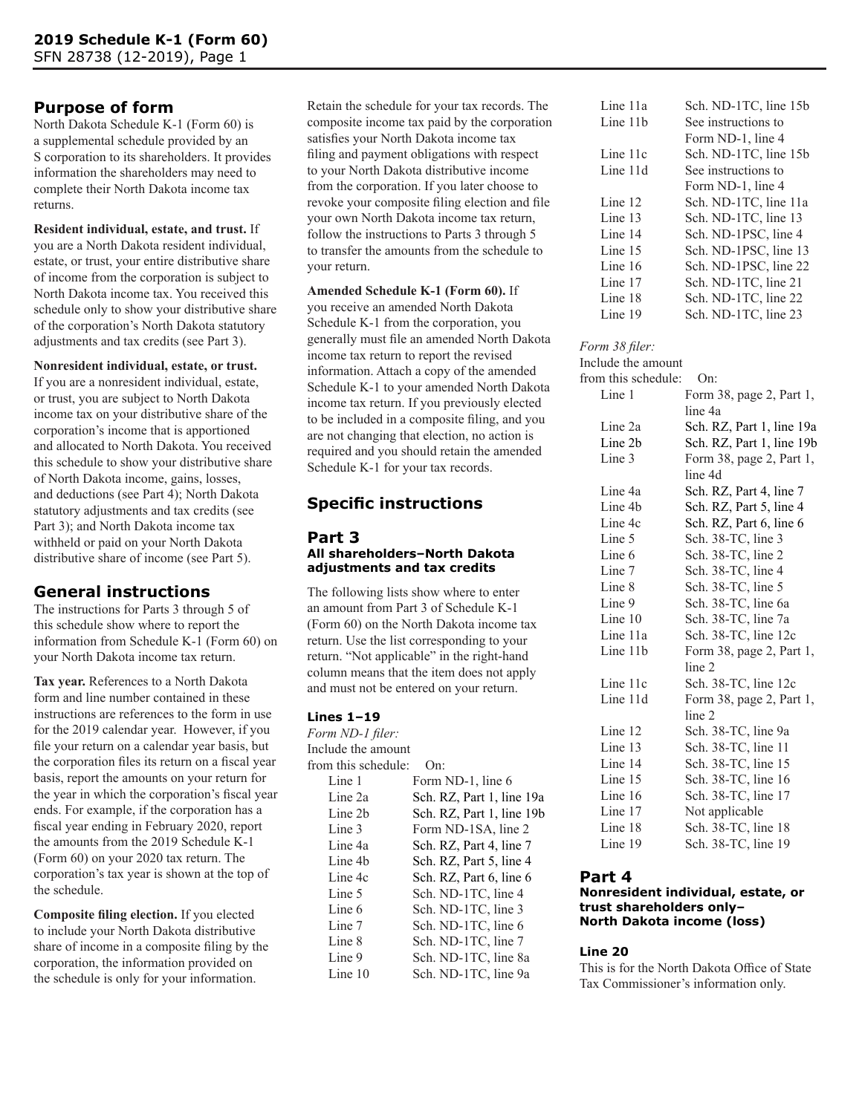# **Purpose of form**

North Dakota Schedule K-1 (Form 60) is a supplemental schedule provided by an S corporation to its shareholders. It provides information the shareholders may need to complete their North Dakota income tax returns.

**Resident individual, estate, and trust.** If you are a North Dakota resident individual, estate, or trust, your entire distributive share of income from the corporation is subject to North Dakota income tax. You received this schedule only to show your distributive share of the corporation's North Dakota statutory adjustments and tax credits (see Part 3).

### **Nonresident individual, estate, or trust.**

If you are a nonresident individual, estate, or trust, you are subject to North Dakota income tax on your distributive share of the corporation's income that is apportioned and allocated to North Dakota. You received this schedule to show your distributive share of North Dakota income, gains, losses, and deductions (see Part 4); North Dakota statutory adjustments and tax credits (see Part 3); and North Dakota income tax withheld or paid on your North Dakota distributive share of income (see Part 5).

## **General instructions**

The instructions for Parts 3 through 5 of this schedule show where to report the information from Schedule K-1 (Form 60) on your North Dakota income tax return.

**Tax year.** References to a North Dakota form and line number contained in these instructions are references to the form in use for the 2019 calendar year. However, if you file your return on a calendar year basis, but the corporation files its return on a fiscal year basis, report the amounts on your return for the year in which the corporation's fiscal year ends. For example, if the corporation has a fiscal year ending in February 2020, report the amounts from the 2019 Schedule K-1 (Form 60) on your 2020 tax return. The corporation's tax year is shown at the top of the schedule.

**Composite filing election.** If you elected to include your North Dakota distributive share of income in a composite filing by the corporation, the information provided on the schedule is only for your information.

Retain the schedule for your tax records. The composite income tax paid by the corporation satisfies your North Dakota income tax filing and payment obligations with respect to your North Dakota distributive income from the corporation. If you later choose to revoke your composite filing election and file your own North Dakota income tax return, follow the instructions to Parts 3 through 5 to transfer the amounts from the schedule to your return.

## **Amended Schedule K-1 (Form 60).** If

you receive an amended North Dakota Schedule K-1 from the corporation, you generally must file an amended North Dakota income tax return to report the revised information. Attach a copy of the amended Schedule K-1 to your amended North Dakota income tax return. If you previously elected to be included in a composite filing, and you are not changing that election, no action is required and you should retain the amended Schedule K-1 for your tax records.

## **Specific instructions**

#### **Part 3 All shareholders–North Dakota adjustments and tax credits**

The following lists show where to enter an amount from Part 3 of Schedule K-1 (Form 60) on the North Dakota income tax return. Use the list corresponding to your return. "Not applicable" in the right-hand column means that the item does not apply and must not be entered on your return.

#### **Lines 1–19**

*Form ND-1 filer:* Include the amount from this schedule: On: Line 1 Form ND-1, line 6 Line 2a Sch. RZ, Part 1, line 19a Line 2b Sch. RZ, Part 1, line 19b<br>Line 3 Form ND-1SA. line 2 Form ND-1SA, line 2 Line 4a Sch. RZ, Part 4, line 7 Line 4b Sch. RZ, Part 5, line 4 Line 4c Sch. RZ, Part 6, line 6 Line 5 Sch. ND-1TC, line 4 Line 6 Sch. ND-1TC, line 3 Line 7 Sch. ND-1TC, line 6 Line 8 Sch. ND-1TC, line 7 Line 9 Sch. ND-1TC, line 8a Line 10 Sch. ND-1TC, line 9a

| Line 11a | Sch. ND-1TC, line 15b |
|----------|-----------------------|
| Line 11b | See instructions to   |
|          | Form ND-1, line 4     |
| Line 11c | Sch. ND-1TC, line 15b |
| Line 11d | See instructions to   |
|          | Form ND-1, line 4     |
| Line 12  | Sch. ND-1TC, line 11a |
| Line 13  | Sch. ND-1TC, line 13  |
| Line 14  | Sch. ND-1PSC, line 4  |
| Line 15  | Sch. ND-1PSC, line 13 |
| Line 16  | Sch. ND-1PSC, line 22 |
| Line 17  | Sch. ND-1TC, line 21  |
| Line 18  | Sch. ND-1TC, line 22  |
| Line 19  | Sch. ND-1TC, line 23  |

#### *Form 38 filer:*

| Include the amount  |                           |
|---------------------|---------------------------|
| from this schedule: | On:                       |
| Line 1              | Form 38, page 2, Part 1,  |
|                     | line 4a                   |
| Line 2a             | Sch. RZ, Part 1, line 19a |
| Line 2b             | Sch. RZ, Part 1, line 19b |
| Line 3              | Form 38, page 2, Part 1,  |
|                     | line 4d                   |
| Line 4a             | Sch. RZ, Part 4, line 7   |
| Line 4b             | Sch. RZ, Part 5, line 4   |
| Line 4c             | Sch. RZ, Part 6, line 6   |
| Line 5              | Sch. 38-TC, line 3        |
| Line 6              | Sch. 38-TC, line 2        |
| Line 7              | Sch. 38-TC, line 4        |
| Line 8              | Sch. 38-TC, line 5        |
| Line 9              | Sch. 38-TC, line 6a       |
| Line $10$           | Sch. 38-TC, line 7a       |
| Line 11a            | Sch. 38-TC, line 12c      |
| Line 11b            | Form 38, page 2, Part 1,  |
|                     | line 2                    |
| Line 11c            | Sch. 38-TC, line 12c      |
| Line 11d            | Form 38, page 2, Part 1,  |
|                     | line 2                    |
| Line 12             | Sch. 38-TC, line 9a       |
| Line 13             | Sch. 38-TC, line 11       |
| Line 14             | Sch. 38-TC, line 15       |
| Line 15             | Sch. 38-TC, line 16       |
| Line 16             | Sch. 38-TC, line 17       |
| Line 17             | Not applicable            |
| Line 18             | Sch. 38-TC, line 18       |
| Line 19             | Sch. 38-TC, line 19       |

## **Part 4**

#### **Nonresident individual, estate, or trust shareholders only– North Dakota income (loss)**

#### **Line 20**

This is for the North Dakota Office of State Tax Commissioner's information only.